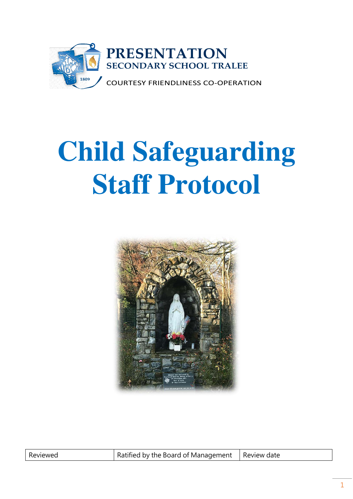

# **Child Safeguarding Staff Protocol**



| Reviewed |
|----------|
|          |

Ratified by the Board of Management  $\parallel$  Review date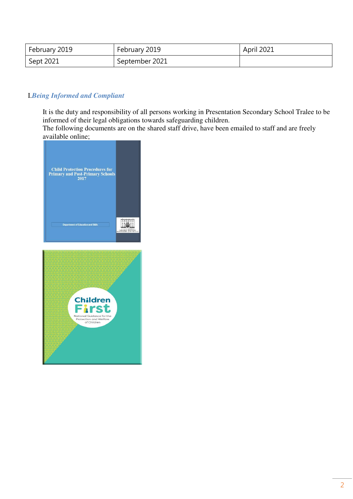| February 2019 | February 2019  | April 2021 |
|---------------|----------------|------------|
| Sept 2021     | September 2021 |            |

#### I.*Being Informed and Compliant*

It is the duty and responsibility of all persons working in Presentation Secondary School Tralee to be informed of their legal obligations towards safeguarding children.

The following documents are on the shared staff drive, have been emailed to staff and are freely available online;



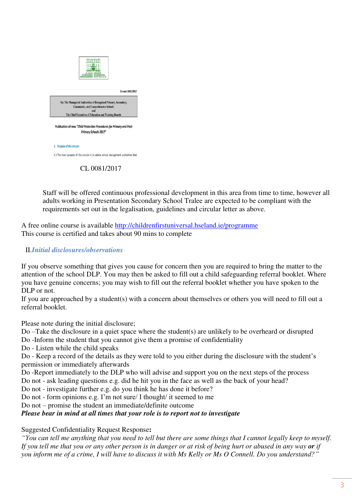

CL 0081/2017

Staff will be offered continuous professional development in this area from time to time, however all adults working in Presentation Secondary School Tralee are expected to be compliant with the requirements set out in the legalisation, guidelines and circular letter as above.

A free online course is available<http://childrenfirstuniversal.hseland.ie/programme> This course is certified and takes about 90 mins to complete

# II.*Initial disclosures/observations*

If you observe something that gives you cause for concern then you are required to bring the matter to the attention of the school DLP. You may then be asked to fill out a child safeguarding referral booklet. Where you have genuine concerns; you may wish to fill out the referral booklet whether you have spoken to the DLP or not.

If you are approached by a student(s) with a concern about themselves or others you will need to fill out a referral booklet.

Please note during the initial disclosure;

Do –Take the disclosure in a quiet space where the student(s) are unlikely to be overheard or disrupted Do -Inform the student that you cannot give them a promise of confidentiality

Do - Listen while the child speaks

Do - Keep a record of the details as they were told to you either during the disclosure with the student's permission or immediately afterwards

Do -Report immediately to the DLP who will advise and support you on the next steps of the process Do not - ask leading questions e.g. did he hit you in the face as well as the back of your head?

Do not - investigate further e.g. do you think he has done it before?

Do not - form opinions e.g. I'm not sure/ I thought/ it seemed to me

Do not – promise the student an immediate/definite outcome

*Please bear in mind at all times that your role is to report not to investigate*

Suggested Confidentiality Request Response**:**

*"You can tell me anything that you need to tell but there are some things that I cannot legally keep to myself. If you tell me that you or any other person is in danger or at risk of being hurt or abused in any way or if you inform me of a crime, I will have to discuss it with Ms Kelly or Ms O Connell. Do you understand?"*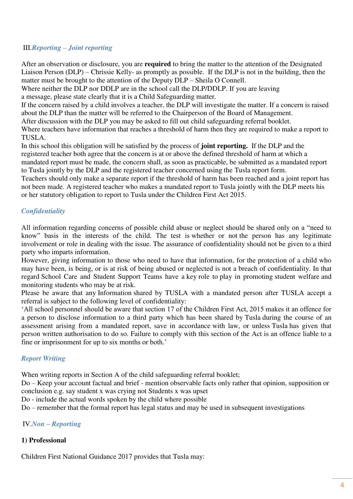### III.*Reporting – Joint reporting*

After an observation or disclosure, you are **required** to bring the matter to the attention of the Designated Liaison Person (DLP) – Chrissie Kelly- as promptly as possible. If the DLP is not in the building, then the matter must be brought to the attention of the Deputy DLP – Sheila O Connell.

Where neither the DLP nor DDLP are in the school call the DLP/DDLP. If you are leaving a message, please state clearly that it is a Child Safeguarding matter.

If the concern raised by a child involves a teacher, the DLP will investigate the matter. If a concern is raised about the DLP than the matter will be referred to the Chairperson of the Board of Management.

After discussion with the DLP you may be asked to fill out child safeguarding referral booklet.

Where teachers have information that reaches a threshold of harm then they are required to make a report to TUSLA.

In this school this obligation will be satisfied by the process of **joint reporting.** If the DLP and the registered teacher both agree that the concern is at or above the defined threshold of harm at which a mandated report must be made, the concern shall, as soon as practicable, be submitted as a mandated report to Tusla jointly by the DLP and the registered teacher concerned using the Tusla report form.

Teachers should only make a separate report if the threshold of harm has been reached and a joint report has not been made. A registered teacher who makes a mandated report to Tusla jointly with the DLP meets his or her statutory obligation to report to Tusla under the Children First Act 2015.

# *Confidentiality*

All information regarding concerns of possible child abuse or neglect should be shared only on a "need to know" basis in the interests of the child. The test is whether or not the person has any legitimate involvement or role in dealing with the issue. The assurance of confidentiality should not be given to a third party who imparts information.

However, giving information to those who need to have that information, for the protection of a child who may have been, is being, or is at risk of being abused or neglected is not a breach of confidentiality. In that regard School Care and Student Support Teams have a key role to play in promoting student welfare and monitoring students who may be at risk.

Please be aware that any Information shared by TUSLA with a mandated person after TUSLA accept a referral is subject to the following level of confidentiality:

'All school personnel should be aware that section 17 of the Children First Act, 2015 makes it an offence for a person to disclose information to a third party which has been shared by Tusla during the course of an assessment arising from a mandated report, save in accordance with law, or unless Tusla has given that person written authorisation to do so. Failure to comply with this section of the Act is an offence liable to a fine or imprisonment for up to six months or both.'

#### *Report Writing*

When writing reports in Section A of the child safeguarding referral booklet;

Do – Keep your account factual and brief - mention observable facts only rather that opinion, supposition or conclusion e.g. say student x was crying not Students x was upset

Do - include the actual words spoken by the child where possible

 $Do$  – remember that the formal report has legal status and may be used in subsequent investigations

# IV.*Non – Reporting*

# **1) Professional**

Children First National Guidance 2017 provides that Tusla may: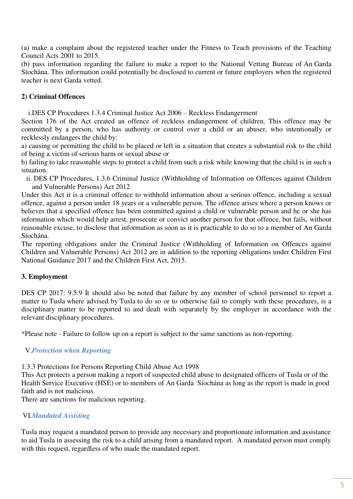(a) make a complaint about the registered teacher under the Fitness to Teach provisions of the Teaching Council Acts 2001 to 2015.

(b) pass information regarding the failure to make a report to the National Vetting Bureau of An Garda Síochána. This information could potentially be disclosed to current or future employers when the registered teacher is next Garda vetted.

### **2) Criminal Offences**

i.DES CP Procedures 1.3.4 Criminal Justice Act 2006 – Reckless Endangerment

Section 176 of the Act created an offence of reckless endangerment of children. This offence may be committed by a person, who has authority or control over a child or an abuser, who intentionally or recklessly endangers the child by:

a) causing or permitting the child to be placed or left in a situation that creates a substantial risk to the child of being a victim of serious harm or sexual abuse or

b) failing to take reasonable steps to protect a child from such a risk while knowing that the child is in such a situation.

ii. DES CP Procedures, 1.3.6 Criminal Justice (Withholding of Information on Offences against Children and Vulnerable Persons) Act 2012

Under this Act it is a criminal offence to withhold information about a serious offence, including a sexual offence, against a person under 18 years or a vulnerable person. The offence arises where a person knows or believes that a specified offence has been committed against a child or vulnerable person and he or she has information which would help arrest, prosecute or convict another person for that offence, but fails, without reasonable excuse, to disclose that information as soon as it is practicable to do so to a member of An Garda Síochána.

The reporting obligations under the Criminal Justice (Withholding of Information on Offences against Children and Vulnerable Persons) Act 2012 are in addition to the reporting obligations under Children First National Guidance 2017 and the Children First Act, 2015.

#### **3. Employment**

DES CP 2017: 9.5.9 It should also be noted that failure by any member of school personnel to report a matter to Tusla where advised by Tusla to do so or to otherwise fail to comply with these procedures, is a disciplinary matter to be reported to and dealt with separately by the employer in accordance with the relevant disciplinary procedures.

\*Please note - Failure to follow up on a report is subject to the same sanctions as non-reporting.

#### V.*Protection when Reporting*

1.3.3 Protections for Persons Reporting Child Abuse Act 1998

This Act protects a person making a report of suspected child abuse to designated officers of Tusla or of the Health Service Executive (HSE) or to members of An Garda Síochána as long as the report is made in good faith and is not malicious.

There are sanctions for malicious reporting.

#### VI.*Mandated Assisting*

Tusla may request a mandated person to provide any necessary and proportionate information and assistance to aid Tusla in assessing the risk to a child arising from a mandated report. A mandated person must comply with this request, regardless of who made the mandated report.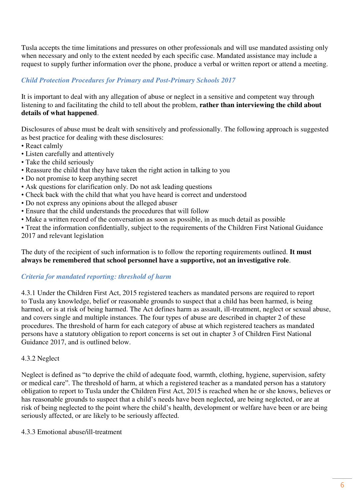Tusla accepts the time limitations and pressures on other professionals and will use mandated assisting only when necessary and only to the extent needed by each specific case. Mandated assistance may include a request to supply further information over the phone, produce a verbal or written report or attend a meeting.

# *Child Protection Procedures for Primary and Post-Primary Schools 2017*

It is important to deal with any allegation of abuse or neglect in a sensitive and competent way through listening to and facilitating the child to tell about the problem, **rather than interviewing the child about details of what happened**.

Disclosures of abuse must be dealt with sensitively and professionally. The following approach is suggested as best practice for dealing with these disclosures:

- React calmly
- Listen carefully and attentively
- Take the child seriously
- Reassure the child that they have taken the right action in talking to you
- Do not promise to keep anything secret
- Ask questions for clarification only. Do not ask leading questions
- Check back with the child that what you have heard is correct and understood
- Do not express any opinions about the alleged abuser
- Ensure that the child understands the procedures that will follow
- Make a written record of the conversation as soon as possible, in as much detail as possible

• Treat the information confidentially, subject to the requirements of the Children First National Guidance 2017 and relevant legislation

The duty of the recipient of such information is to follow the reporting requirements outlined. **It must always be remembered that school personnel have a supportive, not an investigative role**.

# *Criteria for mandated reporting: threshold of harm*

4.3.1 Under the Children First Act, 2015 registered teachers as mandated persons are required to report to Tusla any knowledge, belief or reasonable grounds to suspect that a child has been harmed, is being harmed, or is at risk of being harmed. The Act defines harm as assault, ill-treatment, neglect or sexual abuse, and covers single and multiple instances. The four types of abuse are described in chapter 2 of these procedures. The threshold of harm for each category of abuse at which registered teachers as mandated persons have a statutory obligation to report concerns is set out in chapter 3 of Children First National Guidance 2017, and is outlined below.

#### 4.3.2 Neglect

Neglect is defined as "to deprive the child of adequate food, warmth, clothing, hygiene, supervision, safety or medical care". The threshold of harm, at which a registered teacher as a mandated person has a statutory obligation to report to Tusla under the Children First Act, 2015 is reached when he or she knows, believes or has reasonable grounds to suspect that a child's needs have been neglected, are being neglected, or are at risk of being neglected to the point where the child's health, development or welfare have been or are being seriously affected, or are likely to be seriously affected.

#### 4.3.3 Emotional abuse/ill-treatment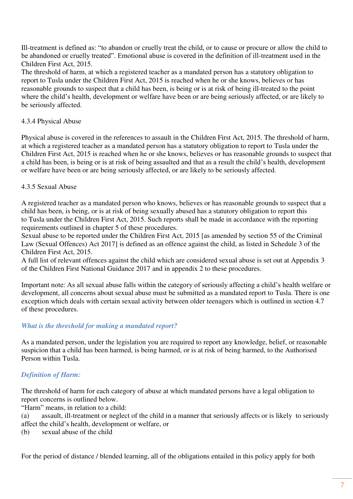Ill-treatment is defined as: "to abandon or cruelly treat the child, or to cause or procure or allow the child to be abandoned or cruelly treated". Emotional abuse is covered in the definition of ill-treatment used in the Children First Act, 2015.

The threshold of harm, at which a registered teacher as a mandated person has a statutory obligation to report to Tusla under the Children First Act, 2015 is reached when he or she knows, believes or has reasonable grounds to suspect that a child has been, is being or is at risk of being ill-treated to the point where the child's health, development or welfare have been or are being seriously affected, or are likely to be seriously affected.

#### 4.3.4 Physical Abuse

Physical abuse is covered in the references to assault in the Children First Act, 2015. The threshold of harm, at which a registered teacher as a mandated person has a statutory obligation to report to Tusla under the Children First Act, 2015 is reached when he or she knows, believes or has reasonable grounds to suspect that a child has been, is being or is at risk of being assaulted and that as a result the child's health, development or welfare have been or are being seriously affected, or are likely to be seriously affected.

#### 4.3.5 Sexual Abuse

A registered teacher as a mandated person who knows, believes or has reasonable grounds to suspect that a child has been, is being, or is at risk of being sexually abused has a statutory obligation to report this to Tusla under the Children First Act, 2015. Such reports shall be made in accordance with the reporting requirements outlined in chapter 5 of these procedures.

Sexual abuse to be reported under the Children First Act, 2015 [as amended by section 55 of the Criminal Law (Sexual Offences) Act 2017] is defined as an offence against the child, as listed in Schedule 3 of the Children First Act, 2015.

A full list of relevant offences against the child which are considered sexual abuse is set out at Appendix 3 of the Children First National Guidance 2017 and in appendix 2 to these procedures.

Important note: As all sexual abuse falls within the category of seriously affecting a child's health welfare or development, all concerns about sexual abuse must be submitted as a mandated report to Tusla. There is one exception which deals with certain sexual activity between older teenagers which is outlined in section 4.7 of these procedures.

#### *What is the threshold for making a mandated report?*

As a mandated person, under the legislation you are required to report any knowledge, belief, or reasonable suspicion that a child has been harmed, is being harmed, or is at risk of being harmed, to the Authorised Person within Tusla.

#### *Definition of Harm:*

The threshold of harm for each category of abuse at which mandated persons have a legal obligation to report concerns is outlined below.

"Harm" means, in relation to a child:

(a) assault, ill-treatment or neglect of the child in a manner that seriously affects or is likely to seriously affect the child's health, development or welfare, or

(b) sexual abuse of the child

For the period of distance / blended learning, all of the obligations entailed in this policy apply for both